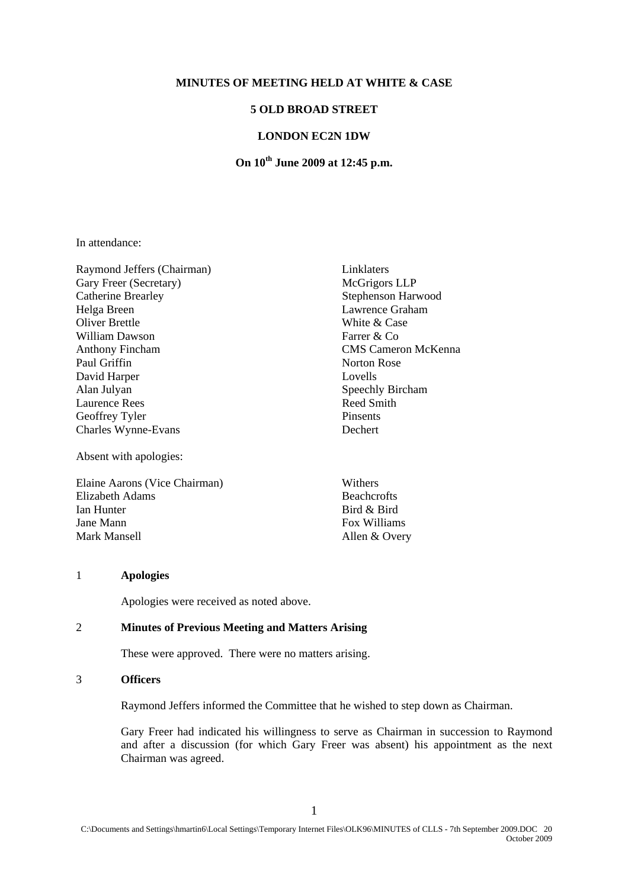#### **MINUTES OF MEETING HELD AT WHITE & CASE**

## **5 OLD BROAD STREET**

## **LONDON EC2N 1DW**

# **On 10th June 2009 at 12:45 p.m.**

In attendance:

Raymond Jeffers (Chairman) Linklaters Gary Freer (Secretary) McGrigors LLP Catherine Brearley Stephenson Harwood Helga Breen Lawrence Graham Oliver Brettle White & Case William Dawson Farrer & Co Anthony Fincham CMS Cameron McKenna Paul Griffin Norton Rose David Harper Lovells Alan Julyan Speechly Bircham Laurence Rees Reed Smith Geoffrey Tyler Pinsents Charles Wynne-Evans Dechert

Absent with apologies:

Elaine Aarons (Vice Chairman) Withers Elizabeth Adams Beachcrofts Ian Hunter Bird & Bird Jane Mann Fox Williams Mark Mansell Allen & Overy

### 1 **Apologies**

Apologies were received as noted above.

#### 2 **Minutes of Previous Meeting and Matters Arising**

These were approved. There were no matters arising.

#### 3 **Officers**

Raymond Jeffers informed the Committee that he wished to step down as Chairman.

Gary Freer had indicated his willingness to serve as Chairman in succession to Raymond and after a discussion (for which Gary Freer was absent) his appointment as the next Chairman was agreed.